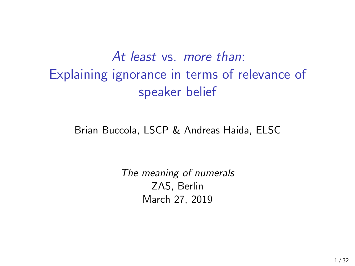# *At least* vs. *more than*: Explaining ignorance in terms of relevance of speaker belief

#### Brian Buccola, LSCP & Andreas Haida, ELSC

*The meaning of numerals* ZAS, Berlin March 27, 2019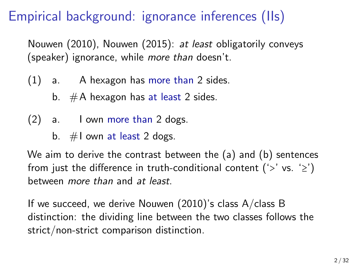# Empirical background: ignorance inferences (IIs)

Nouwen (2010), Nouwen (2015): *at least* obligatorily conveys (speaker) ignorance, while *more than* doesn't.

- (1) a. A hexagon has more than 2 sides.
	- b.  $#A$  hexagon has at least 2 sides.
- (2) a. I own more than 2 dogs.
	- b.  $\#$ I own at least 2 dogs.

We aim to derive the contrast between the (a) and (b) sentences from just the difference in truth-conditional content ('>' vs. ' $\geq$ ') between *more than* and *at least*.

If we succeed, we derive Nouwen (2010)'s class A/class B distinction: the dividing line between the two classes follows the strict/non-strict comparison distinction.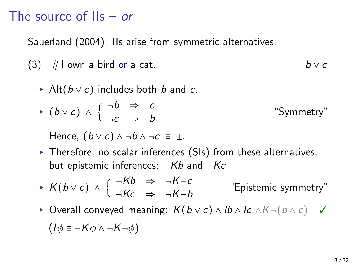## The source of IIs – *or*

Sauerland (2004): IIs arise from symmetric alternatives.

- (3)  $\#$ I own a bird or a cat.  $b \vee c$ 
	- ▸ Alt(*b* ∨ *c*) includes both *b* and *c*.
	- ▸ (*b* ∨ *c*) ∧ { ¬*b* ⇒ *c* ¬*c* ⇒ *b* "Symmetry"

Hence,  $(b \vee c) \wedge \neg b \wedge \neg c \equiv \bot$ .

▸ Therefore, no scalar inferences (SIs) from these alternatives, but epistemic inferences: ¬*Kb* and ¬*Kc*

$$
\star \ \mathsf{K}(b \vee c) \ \wedge \ \left\{ \begin{array}{ccc} \neg \mathsf{K}b & \Rightarrow & \neg \mathsf{K} \neg c \\ \neg \mathsf{K}c & \Rightarrow & \neg \mathsf{K} \neg b \end{array} \right. \qquad \text{``Epistemic symmetry''}
$$

▸ Overall conveyed meaning: *<sup>K</sup>*(*<sup>b</sup>* <sup>∨</sup> *<sup>c</sup>*) <sup>∧</sup> *Ib* <sup>∧</sup> *Ic* <sup>∧</sup>*K*¬(*<sup>b</sup>* <sup>∧</sup> *<sup>c</sup>*) ✓

$$
(I\phi \equiv \neg K\phi \land \neg K\neg \phi)
$$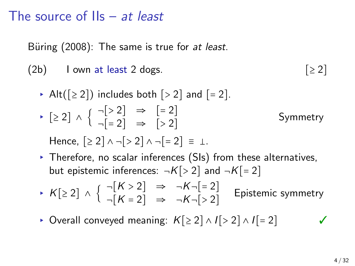# The source of IIs – *at least*

Büring (2008): The same is true for at least.

(2b) I own at least 2 dogs.  $[≥2]$ 

- ▶ Alt $([≥ 2])$  includes both  $[≥ 2]$  and  $[= 2]$ .  $\triangleright$  [≥ 2]  $\wedge$  {  $\neg [ > 2]$   $\Rightarrow$  [= 2]<br> $\Rightarrow$  [> 2]  $\neg$ [=2]  $\Rightarrow$  [>2] Symmetry
	- Hence,  $[2 \ 2] \wedge \neg [3 \ 2] \wedge \neg [4 \ 2] = \bot$ .
- ▸ Therefore, no scalar inferences (SIs) from these alternatives, but epistemic inferences:  $\neg K[>2]$  and  $\neg K[=2]$
- $\triangleright$  *K*[≥ 2] ∧ {  $\neg[K > 2] \Rightarrow \neg K \neg[= 2]$ <br> $\rightarrow$   $\neg K \neg[> 2]$  $\neg[K = 2] \Rightarrow \neg K \neg [ > 2]$ Epistemic symmetry
- ▸ Overall conveyed meaning: *<sup>K</sup>*[≥ <sup>2</sup>] <sup>∧</sup> *<sup>I</sup>*[> <sup>2</sup>] <sup>∧</sup> *<sup>I</sup>*[= <sup>2</sup>] ✓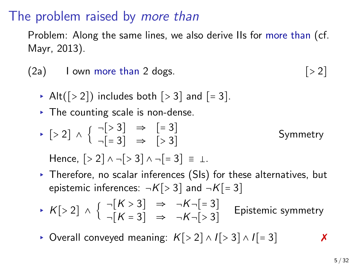### The problem raised by *more than*

Problem: Along the same lines, we also derive IIs for more than (cf. Mayr, 2013).

- $(2a)$  I own more than 2 dogs.  $[>2]$ 
	- Alt( $[-2]$ ) includes both  $[-3]$  and  $[-3]$ .
	- ▸ The counting scale is non-dense.
	- $\triangleright$  [> 2]  $\wedge$  {  $\neg [53] \Rightarrow$  [= 3]<br> $\Rightarrow$  [> 3]  $\neg \lbrack = 3 \rbrack$   $\Rightarrow$   $\lbrack > 3 \rbrack$ Symmetry Hence,  $\lceil$  > 2]  $\land$   $\neg$   $\lceil$  > 3]  $\land$   $\neg$   $\lceil$  = 3]  $\equiv$  1.
	- ▸ Therefore, no scalar inferences (SIs) for these alternatives, but epistemic inferences:  $\neg K[>3]$  and  $\neg K[=3]$
	- $\star$  *K*[> 2] ∧ {  $\neg[K > 3]$   $\Rightarrow$   $\neg K \neg[= 3]$ <br> $\neg[K = 3]$   $\Rightarrow$   $\neg K \neg[> 3]$  $\neg[K = 3] \Rightarrow \neg K \neg [ > 3]$ Epistemic symmetry
	- ▸ Overall conveyed meaning: *<sup>K</sup>*[> <sup>2</sup>] <sup>∧</sup> *<sup>I</sup>*[> <sup>3</sup>] <sup>∧</sup> *<sup>I</sup>*[= <sup>3</sup>] ✗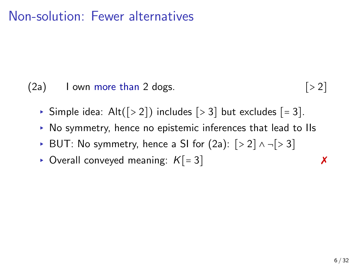# Non-solution: Fewer alternatives

 $(2a)$  I own more than 2 dogs.  $[>2]$ 

- ▶ Simple idea:  $Alt([> 2])$  includes  $[> 3]$  but excludes  $[= 3]$ .
- ▸ No symmetry, hence no epistemic inferences that lead to IIs
- ▸ BUT: No symmetry, hence a SI for (2a): [> <sup>2</sup>] ∧ ¬[> <sup>3</sup>]
- ▸ Overall conveyed meaning: *<sup>K</sup>*[= <sup>3</sup>] ✗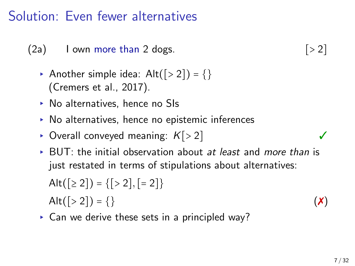## Solution: Even fewer alternatives

 $(2a)$  I own more than 2 dogs.  $[>2]$ 

- Another simple idea:  $Alt([>2]) = \{\}$ (Cremers et al., 2017).
- ▸ No alternatives, hence no SIs
- ▸ No alternatives, hence no epistemic inferences
- ▸ Overall conveyed meaning: *<sup>K</sup>*[> <sup>2</sup>] ✓
- ▸ BUT: the initial observation about *at least* and *more than* is just restated in terms of stipulations about alternatives:

Alt( $[≥ 2]$ ) = { $[≥ 2]$ ,  $[= 2]$ } Alt([> 2]) = {} ( $\bm{x}$ )

▸ Can we derive these sets in a principled way?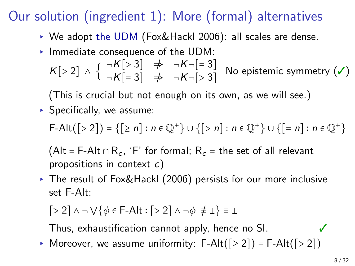# Our solution (ingredient 1): More (formal) alternatives

- ▸ We adopt the UDM (Fox&Hackl 2006): all scales are dense.
- ▸ Immediate consequence of the UDM:

$$
K[>2] \wedge \left\{ \begin{array}{ll} \neg K[>3] & \Rightarrow & \neg K \neg[=3] \\ \neg K[=3] & \Rightarrow & \neg K \neg[>3] \end{array} \right\} \text{No epistemic symmetry } (\checkmark)
$$

(This is crucial but not enough on its own, as we will see.)

 $\triangleright$  Specifically, we assume:

 $F-Alt([>2]) = \{ [ \ge n] : n \in \mathbb{Q}^+ \} \cup \{ [ > n] : n \in \mathbb{Q}^+ \} \cup \{ [ = n] : n \in \mathbb{Q}^+ \}$ 

(Alt = F-Alt ∩ R<sub>c</sub>, 'F' for formal;  $R_c$  = the set of all relevant propositions in context *c*)

▸ The result of Fox&Hackl (2006) persists for our more inclusive set F-Alt:

$$
[>2] \land \neg \bigvee \{ \phi \in \mathsf{F}-\mathsf{Alt} : [>2] \land \neg \phi \neq \bot \} \equiv \bot
$$

Thus, exhaustification cannot apply, hence no SI.  $\checkmark$ 

▶ Moreover, we assume uniformity: F-Alt( $[≥ 2]$ ) = F-Alt( $[≥ 2]$ )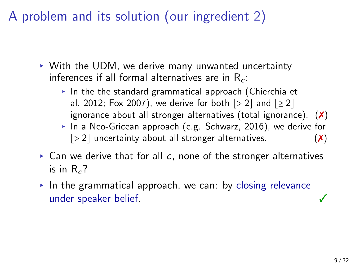A problem and its solution (our ingredient 2)

- ▸ With the UDM, we derive many unwanted uncertainty inferences if all formal alternatives are in R*<sup>c</sup>* :
	- $\cdot$  In the the standard grammatical approach (Chierchia et al. 2012; Fox 2007), we derive for both  $\lceil 5 \rceil$  and  $\lceil 2 \rceil$ ignorance about all stronger alternatives (total ignorance).  $(X)$
	- ▸ In a Neo-Gricean approach (e.g. Schwarz, 2016), we derive for  $[> 2]$  uncertainty about all stronger alternatives.  $(\times)$
- ▸ Can we derive that for all *c*, none of the stronger alternatives is in R*<sup>c</sup>* ?
- $\triangleright$  In the grammatical approach, we can: by closing relevance under speaker belief. ✓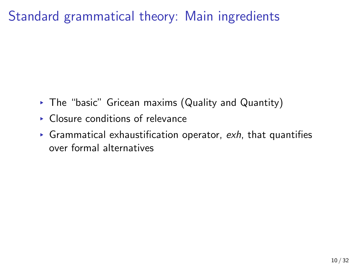# Standard grammatical theory: Main ingredients

- ▸ The "basic" Gricean maxims (Quality and Quantity)
- ▸ Closure conditions of relevance
- ▸ Grammatical exhaustification operator, *exh*, that quantifies over formal alternatives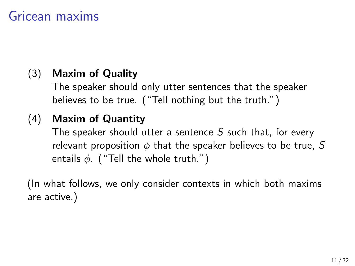## Gricean maxims

### (3) **Maxim of Quality**

The speaker should only utter sentences that the speaker believes to be true. ("Tell nothing but the truth.")

#### (4) **Maxim of Quantity**

The speaker should utter a sentence *S* such that, for every relevant proposition *ϕ* that the speaker believes to be true, *S* entails *ϕ*. ("Tell the whole truth.")

(In what follows, we only consider contexts in which both maxims are active.)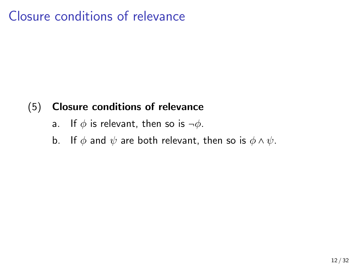## Closure conditions of relevance

#### (5) **Closure conditions of relevance**

- a. If *ϕ* is relevant, then so is ¬*ϕ*.
- b. If  $\phi$  and  $\psi$  are both relevant, then so is  $\phi \wedge \psi$ .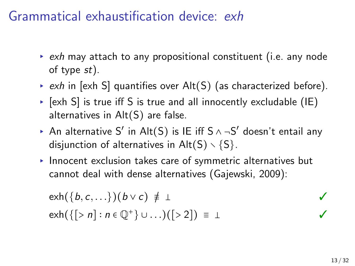### Grammatical exhaustification device: *exh*

- ▸ *exh* may attach to any propositional constituent (i.e. any node of type *st*).
- ▸ *exh* in [exh S] quantifies over Alt(S) (as characterized before).
- $\triangleright$  [exh S] is true iff S is true and all innocently excludable (IE) alternatives in Alt(S) are false.
- ▸ An alternative S′ in Alt(S) is IE iff S ∧ ¬S ′ doesn't entail any disjunction of alternatives in  $Alt(S) \setminus \{S\}$ .
- ▸ Innocent exclusion takes care of symmetric alternatives but cannot deal with dense alternatives (Gajewski, 2009):

$$
exh({b, c, \ldots})(b \vee c) \neq \bot
$$
  
\n
$$
exh({[> n] : n \in \mathbb{Q}^+} \cup \ldots)([> 2]) = \bot
$$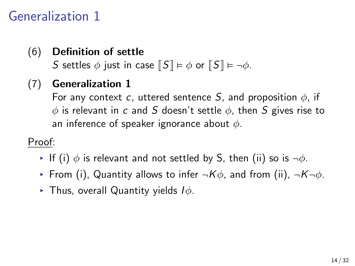# Generalization 1

### (6) **Definition of settle**

*S* settles  $\phi$  just in case  $\llbracket S \rrbracket \models \phi$  or  $\llbracket S \rrbracket \models \neg \phi$ .

### (7) **Generalization 1**

For any context *c*, uttered sentence *S*, and proposition *ϕ*, if *ϕ* is relevant in *c* and *S* doesn't settle *ϕ*, then *S* gives rise to an inference of speaker ignorance about *ϕ*.

#### Proof:

- ▸ If (i) *ϕ* is relevant and not settled by S, then (ii) so is ¬*ϕ*.
- ▸ From (i), Quantity allows to infer ¬*Kϕ*, and from (ii), ¬*K*¬*ϕ*.
- ▸ Thus, overall Quantity yields *Iϕ*.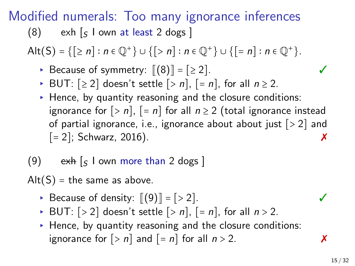# Modified numerals: Too many ignorance inferences

(8) exh [*<sup>S</sup>* I own at least 2 dogs ]

Alt(S) <sup>=</sup> {[≥ *<sup>n</sup>*] <sup>∶</sup> *<sup>n</sup>* <sup>∈</sup> <sup>Q</sup><sup>+</sup> } <sup>∪</sup> {[> *<sup>n</sup>*] <sup>∶</sup> *<sup>n</sup>* <sup>∈</sup> <sup>Q</sup><sup>+</sup> } <sup>∪</sup> {[= *<sup>n</sup>*] <sup>∶</sup> *<sup>n</sup>* <sup>∈</sup> <sup>Q</sup><sup>+</sup> }.

- ► Because of symmetry:  $[[(8)] = [≥ 2]$ .
- ▸ BUT: [≥ <sup>2</sup>] doesn't settle [> *<sup>n</sup>*], [= *<sup>n</sup>*], for all *<sup>n</sup>* <sup>≥</sup> 2.
- ▸ Hence, by quantity reasoning and the closure conditions: ignorance for  $[> n]$ ,  $[= n]$  for all  $n \ge 2$  (total ignorance instead of partial ignorance, i.e., ignorance about about just  $[-2]$ ; Schwarz, 2016).  $[= 2]$ ; Schwarz, 2016).

#### (9) exh [*<sup>S</sup>* I own more than 2 dogs ]

 $Alt(S) = the same as above.$ 

- $▶$  Because of density:  $\lbrack \lbrack 9 \rbrack \rbrack = \lbrack 2 \rbrack$ .
- ▶ BUT:  $[> 2]$  doesn't settle  $[> n]$ ,  $[= n]$ , for all  $n > 2$ .
- ▸ Hence, by quantity reasoning and the closure conditions: ignorance for  $\lceil > n \rceil$  and  $\lceil = n \rceil$  for all  $n > 2$ .

15 / 32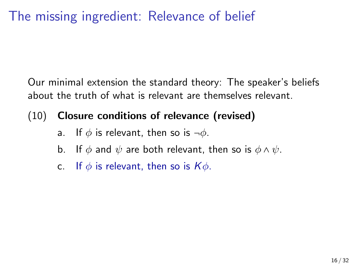# The missing ingredient: Relevance of belief

Our minimal extension the standard theory: The speaker's beliefs about the truth of what is relevant are themselves relevant.

#### (10) **Closure conditions of relevance (revised)**

- a. If *ϕ* is relevant, then so is ¬*ϕ*.
- b. If  $\phi$  and  $\psi$  are both relevant, then so is  $\phi \wedge \psi$ .
- c. If *ϕ* is relevant, then so is *Kϕ*.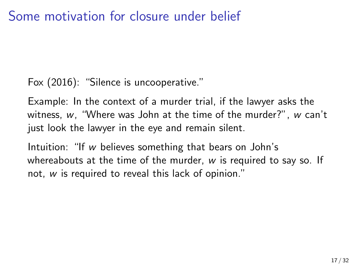## Some motivation for closure under belief

Fox (2016): "Silence is uncooperative."

Example: In the context of a murder trial, if the lawyer asks the witness, *w*, "Where was John at the time of the murder?", *w* can't just look the lawyer in the eye and remain silent.

Intuition: "If *w* believes something that bears on John's whereabouts at the time of the murder, *w* is required to say so. If not, *w* is required to reveal this lack of opinion."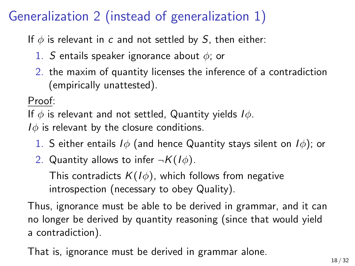# Generalization 2 (instead of generalization 1)

If  $\phi$  is relevant in *c* and not settled by *S*, then either:

- 1. *S* entails speaker ignorance about *ϕ*; or
- 2. the maxim of quantity licenses the inference of a contradiction (empirically unattested).

Proof:

If *ϕ* is relevant and not settled, Quantity yields *Iϕ*.

*I* $\phi$  is relevant by the closure conditions.

- 1. S either entails *Iϕ* (and hence Quantity stays silent on *Iϕ*); or
- 2. Quantity allows to infer  $\neg K(I\phi)$ .

This contradicts  $K(I\phi)$ , which follows from negative introspection (necessary to obey Quality).

Thus, ignorance must be able to be derived in grammar, and it can no longer be derived by quantity reasoning (since that would yield a contradiction).

That is, ignorance must be derived in grammar alone.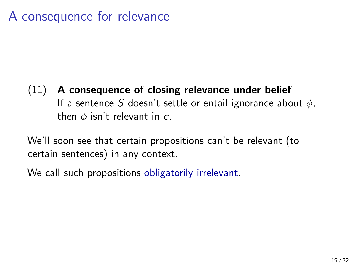## A consequence for relevance

#### (11) **A consequence of closing relevance under belief** If a sentence *S* doesn't settle or entail ignorance about *ϕ*, then *ϕ* isn't relevant in *c*.

We'll soon see that certain propositions can't be relevant (to certain sentences) in any context.

We call such propositions obligatorily irrelevant.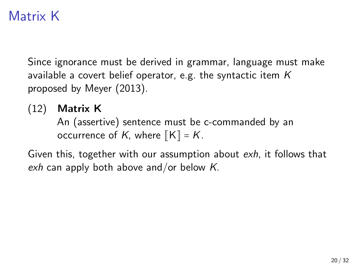# Matrix K

Since ignorance must be derived in grammar, language must make available a covert belief operator, e.g. the syntactic item *K* proposed by Meyer (2013).

(12) **Matrix K**

An (assertive) sentence must be c-commanded by an occurrence of *K*, where  $\llbracket K \rrbracket = K$ .

Given this, together with our assumption about *exh*, it follows that *exh* can apply both above and/or below *K*.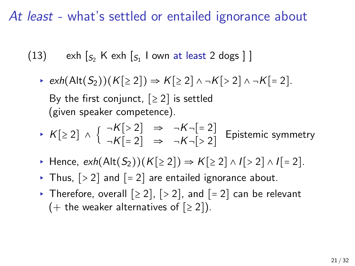## *At least* - what's settled or entailed ignorance about

- $(13)$  exh  $\left[ s_{2}$  K exh  $\left[ s_{1}\right]$  I own at least 2 dogs  $\left[ \right]$ 
	- ▸ *exh*(Alt(*S*2))(*K*[≥ <sup>2</sup>]) <sup>⇒</sup> *<sup>K</sup>*[≥ <sup>2</sup>] ∧ ¬*K*[> <sup>2</sup>] ∧ ¬*K*[= <sup>2</sup>]. By the first conjunct,  $[≥ 2]$  is settled (given speaker competence).
	- ▸ *<sup>K</sup>*[≥ <sup>2</sup>] <sup>∧</sup> { <sup>¬</sup>*K*[> <sup>2</sup>] <sup>⇒</sup> <sup>¬</sup>*K*¬[= <sup>2</sup>]  $\neg K$ [= 2]  $\Rightarrow \neg K$  $\neg$ [> 2] Epistemic symmetry
	- ▸ Hence, *exh*(Alt(*S*2))(*K*[≥ <sup>2</sup>]) <sup>⇒</sup> *<sup>K</sup>*[≥ <sup>2</sup>] <sup>∧</sup> *<sup>I</sup>*[> <sup>2</sup>] <sup>∧</sup> *<sup>I</sup>*[= <sup>2</sup>].
	- $\triangleright$  Thus,  $\lfloor$  > 2] and  $\lfloor$  = 2] are entailed ignorance about.
	- ▶ Therefore, overall  $[≥ 2]$ ,  $[≥ 2]$ , and  $[= 2]$  can be relevant (+ the weaker alternatives of  $[≥ 2]$ ).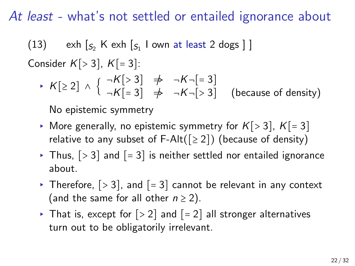### *At least* - what's not settled or entailed ignorance about

 $(13)$  exh  $\left[ s_{2}$  K exh  $\left[ s_{1}\right]$  I own at least 2 dogs  $\left[ \right]$ 

Consider *<sup>K</sup>*[> <sup>3</sup>], *<sup>K</sup>*[= <sup>3</sup>]:

▸ *<sup>K</sup>*[≥ <sup>2</sup>] <sup>∧</sup> { <sup>¬</sup>*K*[> <sup>3</sup>] /⇒ <sup>¬</sup>*K*¬[= <sup>3</sup>]  $\neg K$ [= 3]  $\not\Rightarrow \neg K \neg [ > 3]$  (because of density)

No epistemic symmetry

- ▶ More generally, no epistemic symmetry for  $K[>3]$ ,  $K[=3]$ relative to any subset of F-Alt( $[≥ 2]$ ) (because of density)
- $\triangleright$  Thus,  $\lfloor$  > 3] and  $\lfloor$  = 3] is neither settled nor entailed ignorance about.
- ▶ Therefore,  $[> 3]$ , and  $[= 3]$  cannot be relevant in any context (and the same for all other  $n \geq 2$ ).
- ▶ That is, except for  $[> 2]$  and  $[= 2]$  all stronger alternatives turn out to be obligatorily irrelevant.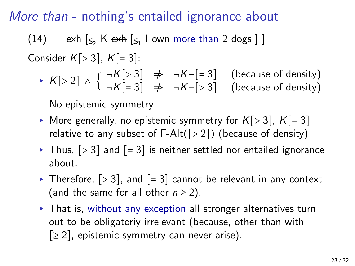### *More than* - nothing's entailed ignorance about

 $(14)$  exh  $\left[ s_2 \text{ K } \text{exh } \left[ s_1 \text{ I } \text{own } \text{ more than } 2 \text{ dogs } \right] \right]$ 

Consider *<sup>K</sup>*[> <sup>3</sup>], *<sup>K</sup>*[= <sup>3</sup>]:

 $\star$  *K*[> 2] ∧ {  $\neg K$ [> 3]  $\not\Rightarrow$   $\neg K \neg$ [= 3] (because of density)<br>  $\star$  *K*[> 2] ∧ {  $\neg K$ [= 3]  $\not\Rightarrow$   $\neg K \neg$ [> 3] (because of density)  $\neg K$ [= 3]  $\not\Rightarrow \neg K \neg [ > 3]$  (because of density)

No epistemic symmetry

- ▶ More generally, no epistemic symmetry for  $K[>3]$ ,  $K[=3]$ relative to any subset of F-Alt $([> 2])$  (because of density)
- $\triangleright$  Thus,  $\lfloor$  > 3] and  $\lfloor$  = 3] is neither settled nor entailed ignorance about.
- ▶ Therefore,  $[> 3]$ , and  $[= 3]$  cannot be relevant in any context (and the same for all other  $n \geq 2$ ).
- ▸ That is, without any exception all stronger alternatives turn out to be obligatoriy irrelevant (because, other than with  $\lceil 2 \rceil$ , epistemic symmetry can never arise).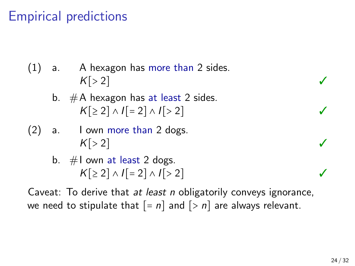# Empirical predictions

- (1) a. A hexagon has more than 2 sides.  $K[>2]$ 
	- b.  $#A$  hexagon has at least 2 sides. *<sup>K</sup>*[≥ <sup>2</sup>] <sup>∧</sup> *<sup>I</sup>*[= <sup>2</sup>] <sup>∧</sup> *<sup>I</sup>*[> <sup>2</sup>] ✓
- (2) a. I own more than 2 dogs.  $K[>2]$ 
	- b. #I own at least 2 dogs.  $K[≥2] \wedge I[=2] \wedge I[>2]$  **✓**

Caveat: To derive that *at least n* obligatorily conveys ignorance, we need to stipulate that  $[-n]$  and  $[>n]$  are always relevant.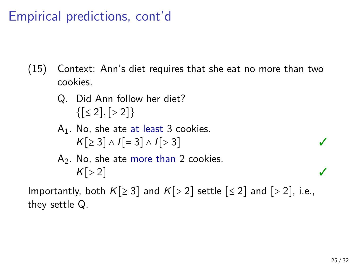Empirical predictions, cont'd

- (15) Context: Ann's diet requires that she eat no more than two cookies.
	- Q. Did Ann follow her diet?  $\{[\leq 2], [\geq 2]\}$
	- $A_1$ . No, she ate at least 3 cookies.  $K[\geq 3] \wedge I[\ = 3] \wedge I[\geq 3]$  *√*
	- $A<sub>2</sub>$ . No, she ate more than 2 cookies.  $K[>2]$

Importantly, both  $K[\geq 3]$  and  $K[> 2]$  settle  $[\leq 2]$  and  $[> 2]$ , i.e., they settle Q.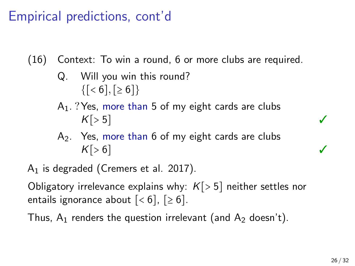# Empirical predictions, cont'd

(16) Context: To win a round, 6 or more clubs are required.

- Q. Will you win this round?  ${ [ < 6], [ \ge 6 ] }$
- $A_1$ . ? Yes, more than 5 of my eight cards are clubs  $K[>5]$
- A<sub>2</sub>. Yes, more than 6 of my eight cards are clubs  $K[>6]$

 $A_1$  is degraded (Cremers et al. 2017).

Obligatory irrelevance explains why: *<sup>K</sup>*[> <sup>5</sup>] neither settles nor entails ignorance about  $\lceil < 6 \rceil$ ,  $\lceil \ge 6 \rceil$ .

Thus,  $A_1$  renders the question irrelevant (and  $A_2$  doesn't).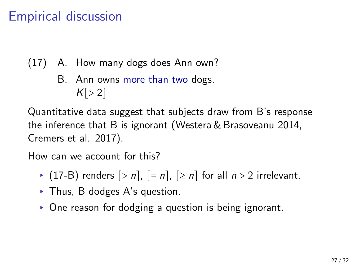# Empirical discussion

- (17) A. How many dogs does Ann own?
	- B. Ann owns more than two dogs.  $K[>2]$

Quantitative data suggest that subjects draw from B's response the inference that B is ignorant (Westera & Brasoveanu 2014, Cremers et al. 2017).

How can we account for this?

- ▶ (17-B) renders  $[> n]$ ,  $[= n]$ ,  $[≥ n]$  for all  $n > 2$  irrelevant.
- ▸ Thus, B dodges A's question.
- ▸ One reason for dodging a question is being ignorant.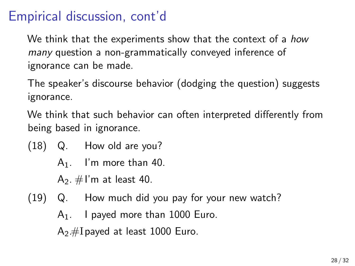# Empirical discussion, cont'd

We think that the experiments show that the context of a *how many* question a non-grammatically conveyed inference of ignorance can be made.

The speaker's discourse behavior (dodging the question) suggests ignorance.

We think that such behavior can often interpreted differently from being based in ignorance.

- (18) Q. How old are you?
	- $A_1$ . I'm more than 40.
	- $A_2$ . #I'm at least 40.
- (19) Q. How much did you pay for your new watch?  $A_1$ . I payed more than 1000 Euro.  $A_2$ #I payed at least 1000 Euro.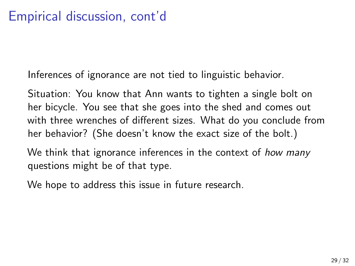Inferences of ignorance are not tied to linguistic behavior.

Situation: You know that Ann wants to tighten a single bolt on her bicycle. You see that she goes into the shed and comes out with three wrenches of different sizes. What do you conclude from her behavior? (She doesn't know the exact size of the bolt.)

We think that ignorance inferences in the context of *how many* questions might be of that type.

We hope to address this issue in future research.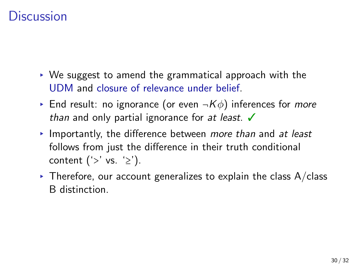## **Discussion**

- ▸ We suggest to amend the grammatical approach with the UDM and closure of relevance under belief.
- ▸ End result: no ignorance (or even ¬*Kϕ*) inferences for *more than* and only partial ignorance for *at least*. ✓
- ▸ Importantly, the difference between *more than* and *at least* follows from just the difference in their truth conditional content  $('> ' vs. '≥').$
- $\triangleright$  Therefore, our account generalizes to explain the class A/class B distinction.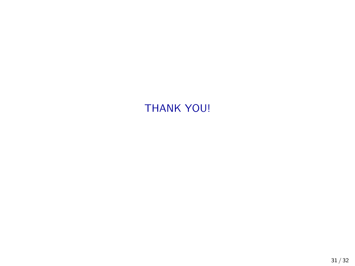#### THANK YOU!